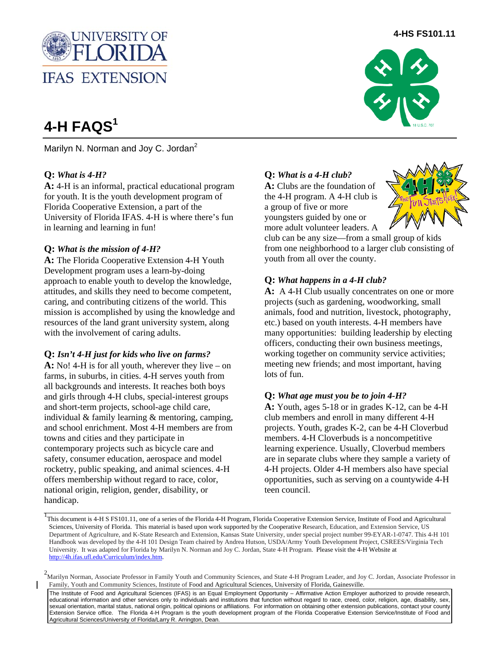

# **4-H FAQS1**

Marilyn N. Norman and Jov C. Jordan<sup>2</sup>

# **Q:** *What is 4-H?*

**A:** 4-H is an informal, practical educational program for youth. It is the youth development program of Florida Cooperative Extension, a part of the University of Florida IFAS. 4-H is where there's fun in learning and learning in fun!

## **Q:** *What is the mission of 4-H?*

**A:** The Florida Cooperative Extension 4-H Youth Development program uses a learn-by-doing approach to enable youth to develop the knowledge, attitudes, and skills they need to become competent, caring, and contributing citizens of the world. This mission is accomplished by using the knowledge and resources of the land grant university system, along with the involvement of caring adults.

## **Q:** *Isn't 4-H just for kids who live on farms?*

**A:** No! 4-H is for all youth, wherever they live – on farms, in suburbs, in cities. 4-H serves youth from all backgrounds and interests. It reaches both boys and girls through 4-H clubs, special-interest groups and short-term projects, school-age child care, individual & family learning & mentoring, camping, and school enrichment. Most 4-H members are from towns and cities and they participate in contemporary projects such as bicycle care and safety, consumer education, aerospace and model rocketry, public speaking, and animal sciences. 4-H offers membership without regard to race, color, national origin, religion, gender, disability, or handicap.

## **Q:** *What is a 4-H club?*

**A:** Clubs are the foundation of the 4-H program. A 4-H club is a group of five or more youngsters guided by one or more adult volunteer leaders. A



club can be any size—from a small group of kids from one neighborhood to a larger club consisting of youth from all over the county.

## **Q:** *What happens in a 4-H club?*

A: A 4-H Club usually concentrates on one or more projects (such as gardening, woodworking, small animals, food and nutrition, livestock, photography, etc.) based on youth interests. 4-H members have many opportunities: building leadership by electing officers, conducting their own business meetings, working together on community service activities; meeting new friends; and most important, having lots of fun.

#### **Q:** *What age must you be to join 4-H?*

**A:** Youth, ages 5-18 or in grades K-12, can be 4-H club members and enroll in many different 4-H projects. Youth, grades K-2, can be 4-H Cloverbud members. 4-H Cloverbuds is a noncompetitive learning experience. Usually, Cloverbud members are in separate clubs where they sample a variety of 4-H projects. Older 4-H members also have special opportunities, such as serving on a countywide 4-H teen council.

The Institute of Food and Agricultural Sciences (IFAS) is an Equal Employment Opportunity – Affirmative Action Employer authorized to provide research, educational information and other services only to individuals and institutions that function without regard to race, creed, color, religion, age, disability, sex, sexual orientation, marital status, national origin, political opinions or affiliations. For information on obtaining other extension publications, contact your county Extension Service office. The Florida 4-H Program is the youth development program of the Florida Cooperative Extension Service/Institute of Food and Agricultural Sciences/University of Florida/Larry R. Arrington, Dean.

# **4-HS FS101.11**



<sup>&</sup>lt;sup>1</sup>This document is 4-H S FS101.11, one of a series of the Florida 4-H Program, Florida Cooperative Extension Service, Institute of Food and Agricultural Sciences, University of Florida. This material is based upon work supported by the Cooperative Research, Education, and Extension Service, US Department of Agriculture, and K-State Research and Extension, Kansas State University, under special project number 99-EYAR-1-0747. This 4-H 101 Handbook was developed by the 4-H 101 Design Team chaired by Andrea Hutson, USDA/Army Youth Development Project, CSREES/Virginia Tech University. It was adapted for Florida by Marilyn N. Norman and Joy C. Jordan, State 4-H Program. Please visit the 4-H Website at http://4h.ifas.ufl.edu/Curriculum/index.htm.

<sup>2&</sup>lt;br>Marilyn Norman, Associate Professor in Family Youth and Community Sciences, and State 4-H Program Leader, and Joy C. Jordan, Associate Professor in Family, Youth and Community Sciences, Institute of Food and Agricultural Sciences, University of Florida, Gainesville.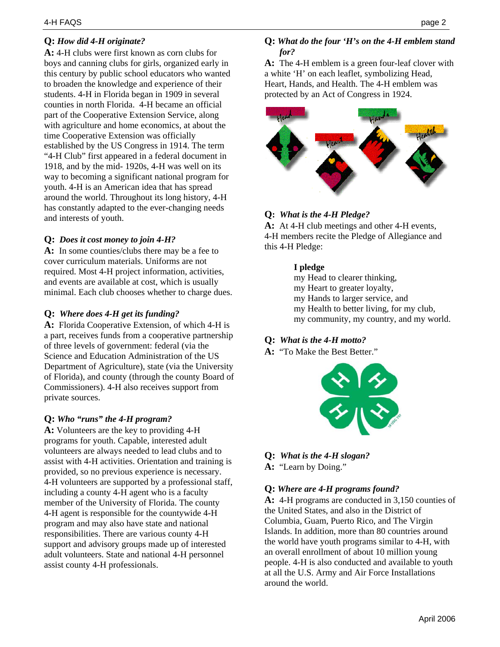# **Q:** *How did 4-H originate?*

**A:** 4-H clubs were first known as corn clubs for boys and canning clubs for girls, organized early in this century by public school educators who wanted to broaden the knowledge and experience of their students. 4-H in Florida began in 1909 in several counties in north Florida. 4-H became an official part of the Cooperative Extension Service, along with agriculture and home economics, at about the time Cooperative Extension was officially established by the US Congress in 1914. The term "4-H Club" first appeared in a federal document in 1918, and by the mid- 1920s, 4-H was well on its way to becoming a significant national program for youth. 4-H is an American idea that has spread around the world. Throughout its long history, 4-H has constantly adapted to the ever-changing needs and interests of youth.

#### **Q:** *Does it cost money to join 4-H?*

A: In some counties/clubs there may be a fee to cover curriculum materials. Uniforms are not required. Most 4-H project information, activities, and events are available at cost, which is usually minimal. Each club chooses whether to charge dues.

#### **Q:** *Where does 4-H get its funding?*

**A:** Florida Cooperative Extension, of which 4-H is a part, receives funds from a cooperative partnership of three levels of government: federal (via the Science and Education Administration of the US Department of Agriculture), state (via the University of Florida), and county (through the county Board of Commissioners). 4-H also receives support from private sources.

#### **Q:** *Who "runs" the 4-H program?*

**A:** Volunteers are the key to providing 4-H programs for youth. Capable, interested adult volunteers are always needed to lead clubs and to assist with 4-H activities. Orientation and training is provided, so no previous experience is necessary. 4-H volunteers are supported by a professional staff, including a county 4-H agent who is a faculty member of the University of Florida. The county 4-H agent is responsible for the countywide 4-H program and may also have state and national responsibilities. There are various county 4-H support and advisory groups made up of interested adult volunteers. State and national 4-H personnel assist county 4-H professionals.

# **Q:** *What do the four 'H's on the 4-H emblem stand for?*

**A:** The 4-H emblem is a green four-leaf clover with a white 'H' on each leaflet, symbolizing Head, Heart, Hands, and Health. The 4-H emblem was protected by an Act of Congress in 1924.



# **Q:** *What is the 4-H Pledge?*

**A:** At 4-H club meetings and other 4-H events, 4-H members recite the Pledge of Allegiance and this 4-H Pledge:

#### **I pledge**

- my Head to clearer thinking,
- my Heart to greater loyalty,
- my Hands to larger service, and
- my Health to better living, for my club,
- my community, my country, and my world.

## **Q:** *What is the 4-H motto?*

**A:** "To Make the Best Better."



**Q:** *What is the 4-H slogan?*  **A:** "Learn by Doing."

#### **Q:** *Where are 4-H programs found?*

**A:** 4-H programs are conducted in 3,150 counties of the United States, and also in the District of Columbia, Guam, Puerto Rico, and The Virgin Islands. In addition, more than 80 countries around the world have youth programs similar to 4-H, with an overall enrollment of about 10 million young people. 4-H is also conducted and available to youth at all the U.S. Army and Air Force Installations around the world.